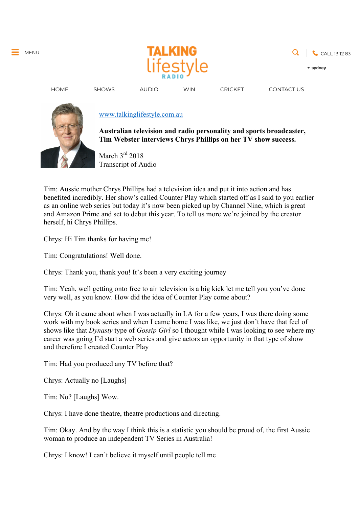

**WIN** 



**CONTACT US** 

**HOME** 

## www.talkinglifestyle.com.au

**AUDIO** 

**Australian television and radio personality and sports broadcaster, Tim Webster interviews Chrys Phillips on her TV show success.**

**CRICKET** 

March 3rd 2018 Transcript of Audio

Tim: Aussie mother Chrys Phillips had a television idea and put it into action and has benefited incredibly. Her show's called Counter Play which started off as I said to you earlier as an online web series but today it's now been picked up by Channel Nine, which is great and Amazon Prime and set to debut this year. To tell us more we're joined by the creator herself, hi Chrys Phillips.

Chrys: Hi Tim thanks for having me!

**SHOWS** 

Tim: Congratulations! Well done.

Chrys: Thank you, thank you! It's been a very exciting journey

Tim: Yeah, well getting onto free to air television is a big kick let me tell you you've done very well, as you know. How did the idea of Counter Play come about?

Chrys: Oh it came about when I was actually in LA for a few years, I was there doing some work with my book series and when I came home I was like, we just don't have that feel of shows like that *Dynasty* type of *Gossip Girl* so I thought while I was looking to see where my career was going I'd start a web series and give actors an opportunity in that type of show and therefore I created Counter Play

Tim: Had you produced any TV before that?

Chrys: Actually no [Laughs]

Tim: No? [Laughs] Wow.

Chrys: I have done theatre, theatre productions and directing.

Tim: Okay. And by the way I think this is a statistic you should be proud of, the first Aussie woman to produce an independent TV Series in Australia!

Chrys: I know! I can't believe it myself until people tell me

MENU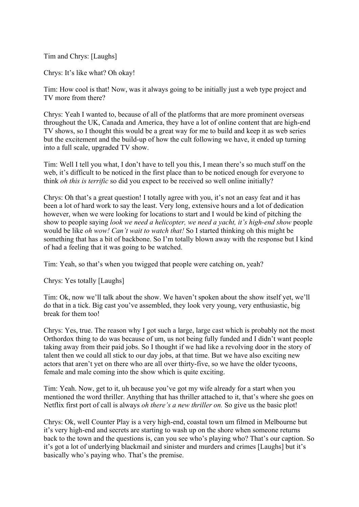Tim and Chrys: [Laughs]

Chrys: It's like what? Oh okay!

Tim: How cool is that! Now, was it always going to be initially just a web type project and TV more from there?

Chrys: Yeah I wanted to, because of all of the platforms that are more prominent overseas throughout the UK, Canada and America, they have a lot of online content that are high-end TV shows, so I thought this would be a great way for me to build and keep it as web series but the excitement and the build-up of how the cult following we have, it ended up turning into a full scale, upgraded TV show.

Tim: Well I tell you what, I don't have to tell you this, I mean there's so much stuff on the web, it's difficult to be noticed in the first place than to be noticed enough for everyone to think *oh this is terrific* so did you expect to be received so well online initially?

Chrys: Oh that's a great question! I totally agree with you, it's not an easy feat and it has been a lot of hard work to say the least. Very long, extensive hours and a lot of dedication however, when we were looking for locations to start and I would be kind of pitching the show to people saying *look we need a helicopter, we need a yacht, it's high-end show* people would be like *oh wow! Can't wait to watch that!* So I started thinking oh this might be something that has a bit of backbone. So I'm totally blown away with the response but I kind of had a feeling that it was going to be watched.

Tim: Yeah, so that's when you twigged that people were catching on, yeah?

Chrys: Yes totally [Laughs]

Tim: Ok, now we'll talk about the show. We haven't spoken about the show itself yet, we'll do that in a tick. Big cast you've assembled, they look very young, very enthusiastic, big break for them too!

Chrys: Yes, true. The reason why I got such a large, large cast which is probably not the most Orthordox thing to do was because of um, us not being fully funded and I didn't want people taking away from their paid jobs. So I thought if we had like a revolving door in the story of talent then we could all stick to our day jobs, at that time. But we have also exciting new actors that aren't yet on there who are all over thirty-five, so we have the older tycoons, female and male coming into the show which is quite exciting.

Tim: Yeah. Now, get to it, uh because you've got my wife already for a start when you mentioned the word thriller. Anything that has thriller attached to it, that's where she goes on Netflix first port of call is always *oh there's a new thriller on.* So give us the basic plot!

Chrys: Ok, well Counter Play is a very high-end, coastal town um filmed in Melbourne but it's very high-end and secrets are starting to wash up on the shore when someone returns back to the town and the questions is, can you see who's playing who? That's our caption. So it's got a lot of underlying blackmail and sinister and murders and crimes [Laughs] but it's basically who's paying who. That's the premise.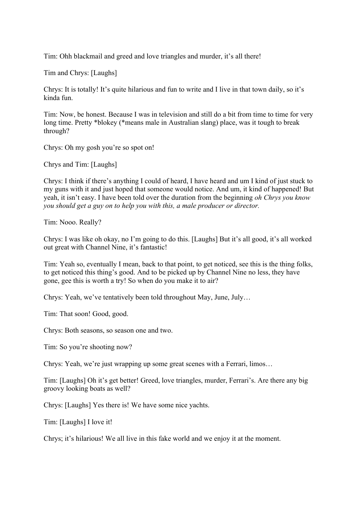Tim: Ohh blackmail and greed and love triangles and murder, it's all there!

Tim and Chrys: [Laughs]

Chrys: It is totally! It's quite hilarious and fun to write and I live in that town daily, so it's kinda fun.

Tim: Now, be honest. Because I was in television and still do a bit from time to time for very long time. Pretty \*blokey (\*means male in Australian slang) place, was it tough to break through?

Chrys: Oh my gosh you're so spot on!

Chrys and Tim: [Laughs]

Chrys: I think if there's anything I could of heard, I have heard and um I kind of just stuck to my guns with it and just hoped that someone would notice. And um, it kind of happened! But yeah, it isn't easy. I have been told over the duration from the beginning *oh Chrys you know you should get a guy on to help you with this, a male producer or director.*

Tim: Nooo. Really?

Chrys: I was like oh okay, no I'm going to do this. [Laughs] But it's all good, it's all worked out great with Channel Nine, it's fantastic!

Tim: Yeah so, eventually I mean, back to that point, to get noticed, see this is the thing folks, to get noticed this thing's good. And to be picked up by Channel Nine no less, they have gone, gee this is worth a try! So when do you make it to air?

Chrys: Yeah, we've tentatively been told throughout May, June, July…

Tim: That soon! Good, good.

Chrys: Both seasons, so season one and two.

Tim: So you're shooting now?

Chrys: Yeah, we're just wrapping up some great scenes with a Ferrari, limos…

Tim: [Laughs] Oh it's get better! Greed, love triangles, murder, Ferrari's. Are there any big groovy looking boats as well?

Chrys: [Laughs] Yes there is! We have some nice yachts.

Tim: [Laughs] I love it!

Chrys; it's hilarious! We all live in this fake world and we enjoy it at the moment.